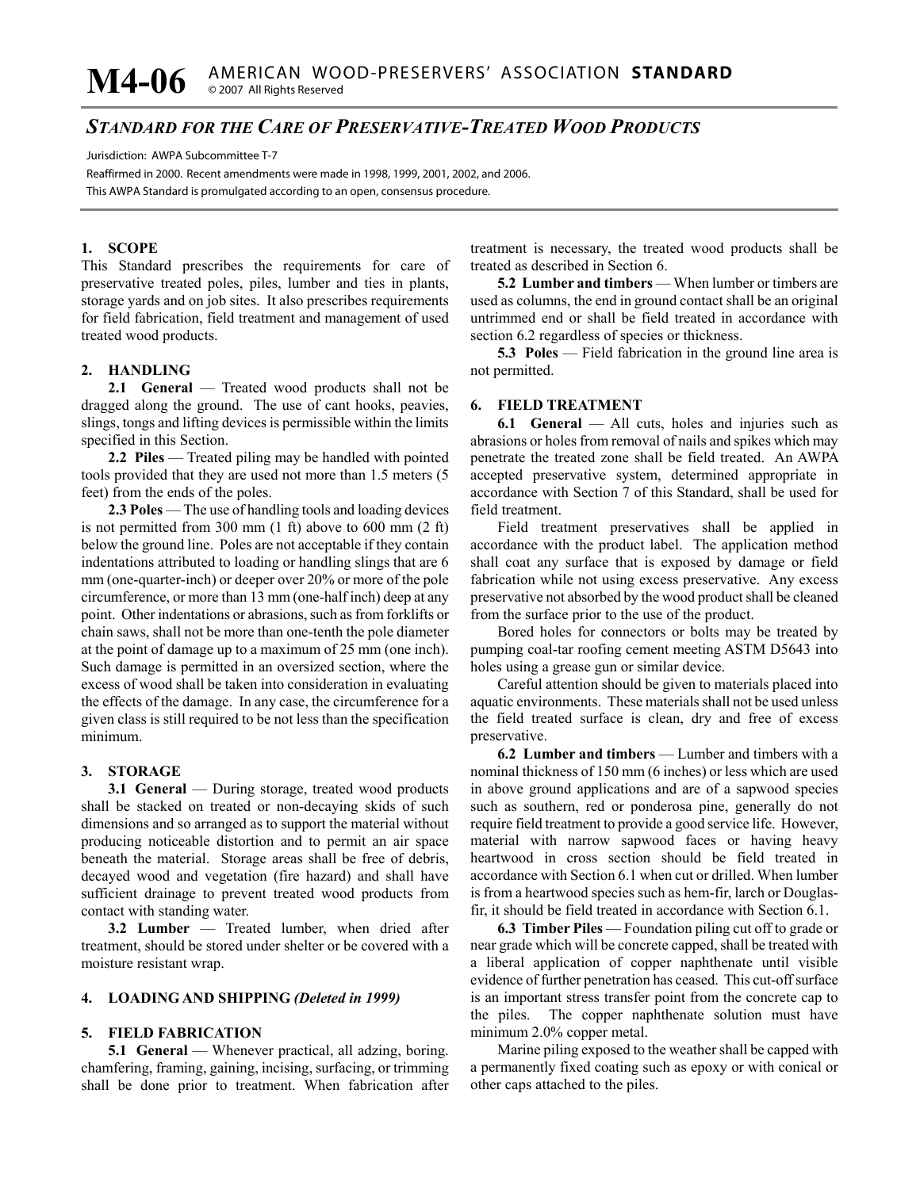# *STANDARD FOR THE CARE OF PRESERVATIVE-TREATED WOOD PRODUCTS*

Jurisdiction: AWPA Subcommittee T-7

Reaffirmed in 2000. Recent amendments were made in 1998, 1999, 2001, 2002, and 2006. This AWPA Standard is promulgated according to an open, consensus procedure.

# **1. SCOPE**

This Standard prescribes the requirements for care of preservative treated poles, piles, lumber and ties in plants, storage yards and on job sites. It also prescribes requirements for field fabrication, field treatment and management of used treated wood products.

# **2. HANDLING**

**2.1 General** — Treated wood products shall not be dragged along the ground. The use of cant hooks, peavies, slings, tongs and lifting devices is permissible within the limits specified in this Section.

**2.2 Piles** — Treated piling may be handled with pointed tools provided that they are used not more than 1.5 meters (5 feet) from the ends of the poles.

**2.3 Poles** — The use of handling tools and loading devices is not permitted from 300 mm (1 ft) above to 600 mm (2 ft) below the ground line. Poles are not acceptable if they contain indentations attributed to loading or handling slings that are 6 mm (one-quarter-inch) or deeper over 20% or more of the pole circumference, or more than 13 mm (one-half inch) deep at any point. Other indentations or abrasions, such as from forklifts or chain saws, shall not be more than one-tenth the pole diameter at the point of damage up to a maximum of 25 mm (one inch). Such damage is permitted in an oversized section, where the excess of wood shall be taken into consideration in evaluating the effects of the damage. In any case, the circumference for a given class is still required to be not less than the specification minimum.

## **3. STORAGE**

**3.1 General** — During storage, treated wood products shall be stacked on treated or non-decaying skids of such dimensions and so arranged as to support the material without producing noticeable distortion and to permit an air space beneath the material. Storage areas shall be free of debris, decayed wood and vegetation (fire hazard) and shall have sufficient drainage to prevent treated wood products from contact with standing water.

**3.2 Lumber** — Treated lumber, when dried after treatment, should be stored under shelter or be covered with a moisture resistant wrap.

# **4. LOADING AND SHIPPING** *(Deleted in 1999)*

#### **5. FIELD FABRICATION**

**5.1 General** — Whenever practical, all adzing, boring. chamfering, framing, gaining, incising, surfacing, or trimming shall be done prior to treatment. When fabrication after

treatment is necessary, the treated wood products shall be treated as described in Section 6.

**5.2 Lumber and timbers** — When lumber or timbers are used as columns, the end in ground contact shall be an original untrimmed end or shall be field treated in accordance with section 6.2 regardless of species or thickness.

**5.3 Poles** — Field fabrication in the ground line area is not permitted.

## **6. FIELD TREATMENT**

**6.1 General** — All cuts, holes and injuries such as abrasions or holes from removal of nails and spikes which may penetrate the treated zone shall be field treated. An AWPA accepted preservative system, determined appropriate in accordance with Section 7 of this Standard, shall be used for field treatment.

Field treatment preservatives shall be applied in accordance with the product label. The application method shall coat any surface that is exposed by damage or field fabrication while not using excess preservative. Any excess preservative not absorbed by the wood product shall be cleaned from the surface prior to the use of the product.

Bored holes for connectors or bolts may be treated by pumping coal-tar roofing cement meeting ASTM D5643 into holes using a grease gun or similar device.

Careful attention should be given to materials placed into aquatic environments. These materials shall not be used unless the field treated surface is clean, dry and free of excess preservative.

**6.2 Lumber and timbers** — Lumber and timbers with a nominal thickness of 150 mm (6 inches) or less which are used in above ground applications and are of a sapwood species such as southern, red or ponderosa pine, generally do not require field treatment to provide a good service life. However, material with narrow sapwood faces or having heavy heartwood in cross section should be field treated in accordance with Section 6.1 when cut or drilled. When lumber is from a heartwood species such as hem-fir, larch or Douglasfir, it should be field treated in accordance with Section 6.1.

**6.3 Timber Piles** — Foundation piling cut off to grade or near grade which will be concrete capped, shall be treated with a liberal application of copper naphthenate until visible evidence of further penetration has ceased. This cut-off surface is an important stress transfer point from the concrete cap to the piles. The copper naphthenate solution must have minimum 2.0% copper metal.

Marine piling exposed to the weather shall be capped with a permanently fixed coating such as epoxy or with conical or other caps attached to the piles.